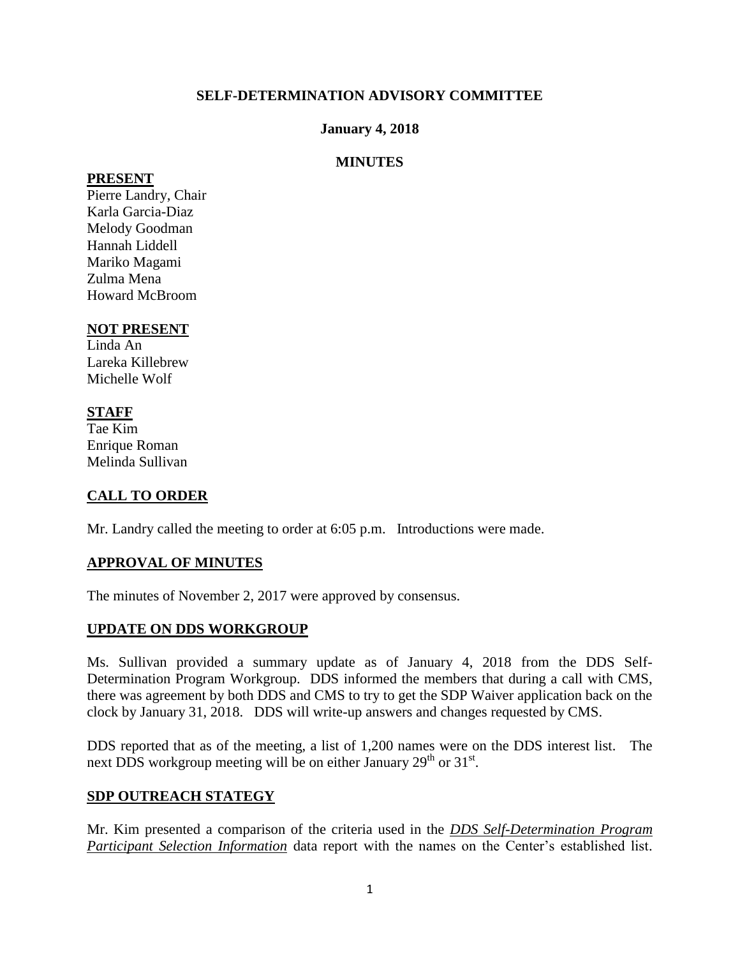#### **SELF-DETERMINATION ADVISORY COMMITTEE**

#### **January 4, 2018**

### **MINUTES**

#### **PRESENT**

Pierre Landry, Chair Karla Garcia-Diaz Melody Goodman Hannah Liddell Mariko Magami Zulma Mena Howard McBroom

#### **NOT PRESENT**

Linda An Lareka Killebrew Michelle Wolf

## **STAFF**

Tae Kim Enrique Roman Melinda Sullivan

## **CALL TO ORDER**

Mr. Landry called the meeting to order at 6:05 p.m. Introductions were made.

## **APPROVAL OF MINUTES**

The minutes of November 2, 2017 were approved by consensus.

#### **UPDATE ON DDS WORKGROUP**

Ms. Sullivan provided a summary update as of January 4, 2018 from the DDS Self-Determination Program Workgroup. DDS informed the members that during a call with CMS, there was agreement by both DDS and CMS to try to get the SDP Waiver application back on the clock by January 31, 2018. DDS will write-up answers and changes requested by CMS.

DDS reported that as of the meeting, a list of 1,200 names were on the DDS interest list. The next DDS workgroup meeting will be on either January  $29<sup>th</sup>$  or  $31<sup>st</sup>$ .

#### **SDP OUTREACH STATEGY**

Mr. Kim presented a comparison of the criteria used in the *DDS Self-Determination Program Participant Selection Information* data report with the names on the Center's established list.